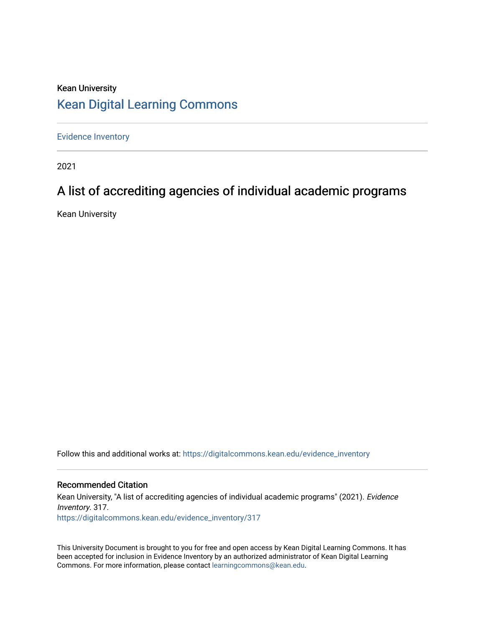## Kean University [Kean Digital Learning Commons](https://digitalcommons.kean.edu/)

[Evidence Inventory](https://digitalcommons.kean.edu/evidence_inventory) 

2021

# A list of accrediting agencies of individual academic programs

Kean University

Follow this and additional works at: [https://digitalcommons.kean.edu/evidence\\_inventory](https://digitalcommons.kean.edu/evidence_inventory?utm_source=digitalcommons.kean.edu%2Fevidence_inventory%2F317&utm_medium=PDF&utm_campaign=PDFCoverPages)

#### Recommended Citation

Kean University, "A list of accrediting agencies of individual academic programs" (2021). Evidence Inventory. 317. [https://digitalcommons.kean.edu/evidence\\_inventory/317](https://digitalcommons.kean.edu/evidence_inventory/317?utm_source=digitalcommons.kean.edu%2Fevidence_inventory%2F317&utm_medium=PDF&utm_campaign=PDFCoverPages)

This University Document is brought to you for free and open access by Kean Digital Learning Commons. It has been accepted for inclusion in Evidence Inventory by an authorized administrator of Kean Digital Learning Commons. For more information, please contact [learningcommons@kean.edu.](mailto:learningcommons@kean.edu)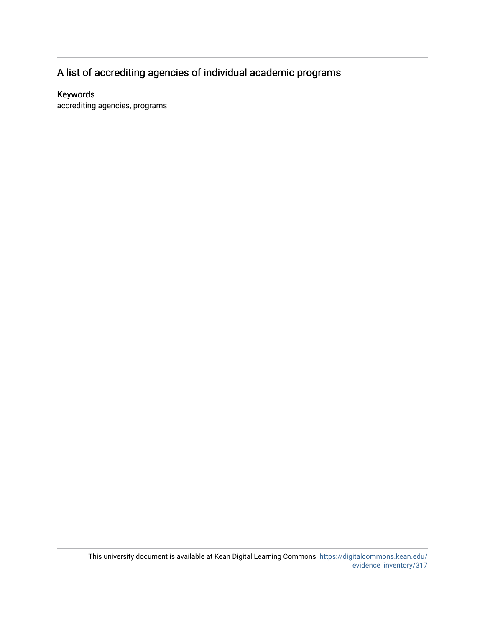## A list of accrediting agencies of individual academic programs

### Keywords

accrediting agencies, programs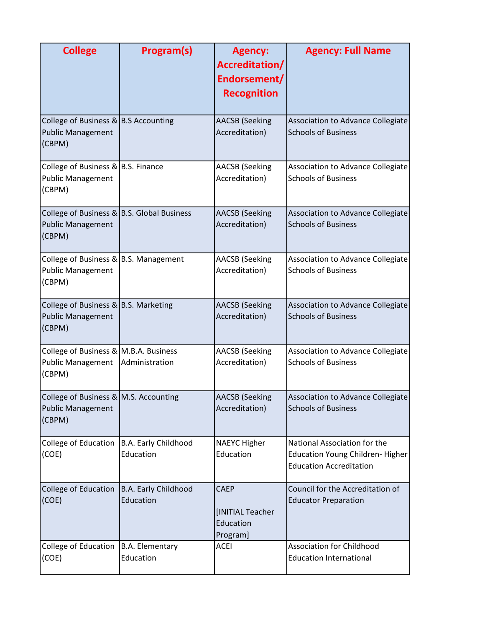| <b>College</b>                                                                           | Program(s)                          | <b>Agency:</b><br>Accreditation/<br>Endorsement/<br><b>Recognition</b> | <b>Agency: Full Name</b>                                                                          |
|------------------------------------------------------------------------------------------|-------------------------------------|------------------------------------------------------------------------|---------------------------------------------------------------------------------------------------|
| College of Business & B.S Accounting<br><b>Public Management</b><br>(CBPM)               |                                     | <b>AACSB</b> (Seeking<br>Accreditation)                                | Association to Advance Collegiate<br><b>Schools of Business</b>                                   |
| College of Business & B.S. Finance<br><b>Public Management</b><br>(CBPM)                 |                                     | <b>AACSB</b> (Seeking<br>Accreditation)                                | Association to Advance Collegiate<br><b>Schools of Business</b>                                   |
| College of Business & $\vert$ B.S. Global Business<br><b>Public Management</b><br>(CBPM) |                                     | <b>AACSB</b> (Seeking<br>Accreditation)                                | Association to Advance Collegiate<br><b>Schools of Business</b>                                   |
| College of Business & B.S. Management<br><b>Public Management</b><br>(CBPM)              |                                     | <b>AACSB</b> (Seeking<br>Accreditation)                                | Association to Advance Collegiate<br><b>Schools of Business</b>                                   |
| College of Business & B.S. Marketing<br><b>Public Management</b><br>(CBPM)               |                                     | <b>AACSB</b> (Seeking<br>Accreditation)                                | Association to Advance Collegiate<br><b>Schools of Business</b>                                   |
| College of Business & M.B.A. Business<br><b>Public Management</b><br>(CBPM)              | Administration                      | <b>AACSB</b> (Seeking<br>Accreditation)                                | Association to Advance Collegiate<br><b>Schools of Business</b>                                   |
| College of Business & $M.S.$ Accounting<br><b>Public Management</b><br>(CBPM)            |                                     | <b>AACSB</b> (Seeking<br>Accreditation)                                | Association to Advance Collegiate<br><b>Schools of Business</b>                                   |
| College of Education<br>(COE)                                                            | B.A. Early Childhood<br>Education   | <b>NAEYC Higher</b><br>Education                                       | National Association for the<br>Education Young Children-Higher<br><b>Education Accreditation</b> |
| College of Education<br>(COE)                                                            | B.A. Early Childhood<br>Education   | <b>CAEP</b><br>[INITIAL Teacher<br>Education<br>Program]               | Council for the Accreditation of<br><b>Educator Preparation</b>                                   |
| College of Education<br>(COE)                                                            | <b>B.A. Elementary</b><br>Education | <b>ACEI</b>                                                            | <b>Association for Childhood</b><br><b>Education International</b>                                |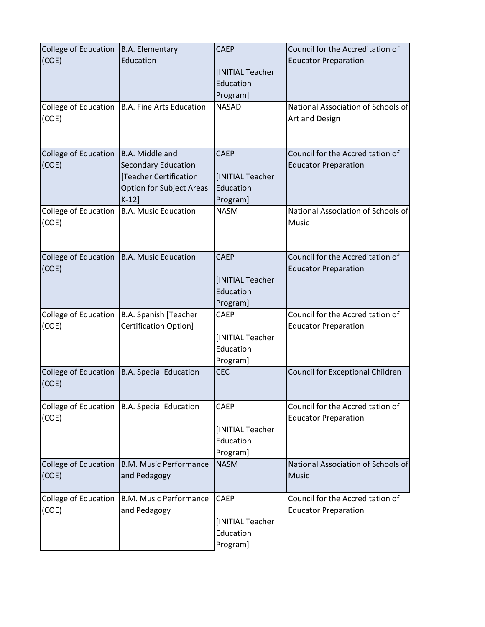| College of Education   B.A. Elementary<br>(COE) | Education<br>College of Education   B.A. Fine Arts Education                                                           | <b>CAEP</b><br>[INITIAL Teacher<br>Education<br>Program]<br><b>NASAD</b> | Council for the Accreditation of<br><b>Educator Preparation</b><br>National Association of Schools of |
|-------------------------------------------------|------------------------------------------------------------------------------------------------------------------------|--------------------------------------------------------------------------|-------------------------------------------------------------------------------------------------------|
| (COE)                                           |                                                                                                                        |                                                                          | Art and Design                                                                                        |
| College of Education<br>(COE)                   | B.A. Middle and<br><b>Secondary Education</b><br>[Teacher Certification<br><b>Option for Subject Areas</b><br>$K-12$ ] | <b>CAEP</b><br>[INITIAL Teacher<br>Education<br>Program]                 | Council for the Accreditation of<br><b>Educator Preparation</b>                                       |
| College of Education<br>(COE)                   | <b>B.A. Music Education</b>                                                                                            | <b>NASM</b>                                                              | National Association of Schools of<br>Music                                                           |
| (COE)                                           | College of Education   B.A. Music Education                                                                            | <b>CAEP</b><br>[INITIAL Teacher<br>Education<br>Program]                 | Council for the Accreditation of<br><b>Educator Preparation</b>                                       |
| College of Education<br>(COE)                   | B.A. Spanish [Teacher<br>Certification Option]                                                                         | CAEP<br>[INITIAL Teacher<br>Education<br>Program]                        | Council for the Accreditation of<br><b>Educator Preparation</b>                                       |
| College of Education<br>(COE)                   | <b>B.A. Special Education</b>                                                                                          | <b>CEC</b>                                                               | <b>Council for Exceptional Children</b>                                                               |
| (COE)                                           | College of Education   B.A. Special Education                                                                          | CAEP<br>[INITIAL Teacher<br>Education<br>Program]                        | Council for the Accreditation of<br><b>Educator Preparation</b>                                       |
| <b>College of Education</b><br>(COE)            | <b>B.M. Music Performance</b><br>and Pedagogy                                                                          | <b>NASM</b>                                                              | National Association of Schools of<br><b>Music</b>                                                    |
| College of Education<br>(COE)                   | <b>B.M. Music Performance</b><br>and Pedagogy                                                                          | CAEP<br>[INITIAL Teacher<br>Education<br>Program]                        | Council for the Accreditation of<br><b>Educator Preparation</b>                                       |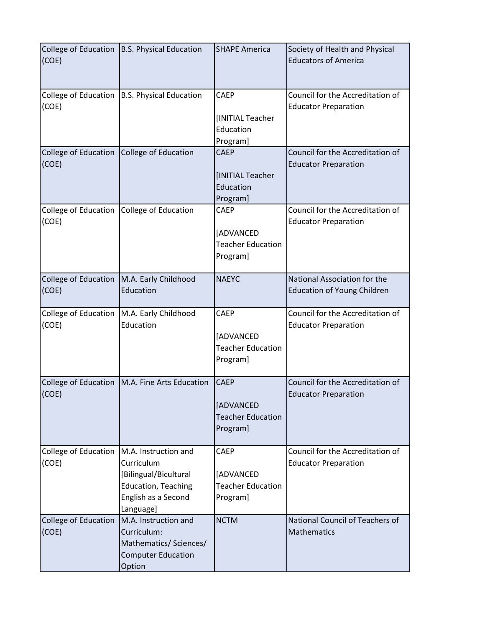| (COE)                         | College of Education   B.S. Physical Education                                                                                | <b>SHAPE America</b>                                             | Society of Health and Physical<br><b>Educators of America</b>      |
|-------------------------------|-------------------------------------------------------------------------------------------------------------------------------|------------------------------------------------------------------|--------------------------------------------------------------------|
| (COE)                         | College of Education   B.S. Physical Education                                                                                | <b>CAEP</b><br>[INITIAL Teacher<br>Education<br>Program]         | Council for the Accreditation of<br><b>Educator Preparation</b>    |
| College of Education<br>(COE) | College of Education                                                                                                          | <b>CAEP</b><br>[INITIAL Teacher<br>Education<br>Program]         | Council for the Accreditation of<br><b>Educator Preparation</b>    |
| College of Education<br>(COE) | College of Education                                                                                                          | CAEP<br>[ADVANCED<br><b>Teacher Education</b><br>Program]        | Council for the Accreditation of<br><b>Educator Preparation</b>    |
| College of Education<br>(COE) | M.A. Early Childhood<br>Education                                                                                             | <b>NAEYC</b>                                                     | National Association for the<br><b>Education of Young Children</b> |
| College of Education<br>(COE) | M.A. Early Childhood<br>Education                                                                                             | <b>CAEP</b><br>[ADVANCED<br><b>Teacher Education</b><br>Program] | Council for the Accreditation of<br><b>Educator Preparation</b>    |
| (COE)                         | College of Education   M.A. Fine Arts Education                                                                               | <b>CAEP</b><br>[ADVANCED<br><b>Teacher Education</b><br>Program] | Council for the Accreditation of<br><b>Educator Preparation</b>    |
| College of Education<br>(COE) | M.A. Instruction and<br>Curriculum<br>[Bilingual/Bicultural<br><b>Education, Teaching</b><br>English as a Second<br>Language] | <b>CAEP</b><br>[ADVANCED<br><b>Teacher Education</b><br>Program] | Council for the Accreditation of<br><b>Educator Preparation</b>    |
| College of Education<br>(COE) | M.A. Instruction and<br>Curriculum:<br>Mathematics/ Sciences/<br><b>Computer Education</b><br>Option                          | <b>NCTM</b>                                                      | National Council of Teachers of<br><b>Mathematics</b>              |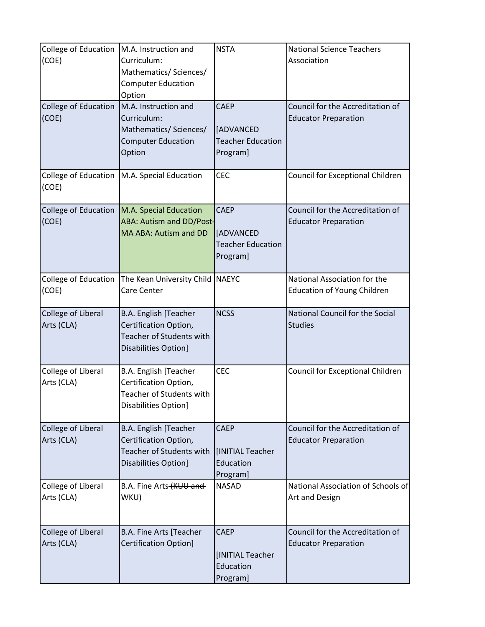| College of Education   M.A. Instruction and<br>(COE) | Curriculum:<br>Mathematics/ Sciences/<br><b>Computer Education</b><br>Option                            | <b>NSTA</b>                                                      | <b>National Science Teachers</b><br>Association                    |
|------------------------------------------------------|---------------------------------------------------------------------------------------------------------|------------------------------------------------------------------|--------------------------------------------------------------------|
| College of Education<br>(COE)                        | M.A. Instruction and<br>Curriculum:<br>Mathematics/ Sciences/<br><b>Computer Education</b><br>Option    | <b>CAEP</b><br>[ADVANCED<br><b>Teacher Education</b><br>Program] | Council for the Accreditation of<br><b>Educator Preparation</b>    |
| (COE)                                                | College of Education   M.A. Special Education                                                           | <b>CEC</b>                                                       | Council for Exceptional Children                                   |
| (COE)                                                | College of Education M.A. Special Education<br><b>ABA: Autism and DD/Post-</b><br>MA ABA: Autism and DD | <b>CAEP</b><br>[ADVANCED<br><b>Teacher Education</b><br>Program] | Council for the Accreditation of<br><b>Educator Preparation</b>    |
| College of Education<br>(COE)                        | The Kean University Child NAEYC<br>Care Center                                                          |                                                                  | National Association for the<br><b>Education of Young Children</b> |
| College of Liberal<br>Arts (CLA)                     | B.A. English [Teacher<br>Certification Option,<br>Teacher of Students with<br>Disabilities Option]      | <b>NCSS</b>                                                      | National Council for the Social<br><b>Studies</b>                  |
| College of Liberal<br>Arts (CLA)                     | B.A. English [Teacher<br>Certification Option,<br>Teacher of Students with<br>Disabilities Option]      | <b>CEC</b>                                                       | Council for Exceptional Children                                   |
| College of Liberal<br>Arts (CLA)                     | B.A. English [Teacher<br>Certification Option,<br>Teacher of Students with<br>Disabilities Option]      | <b>CAEP</b><br>IINITIAL Teacher<br>Education<br>Program]         | Council for the Accreditation of<br><b>Educator Preparation</b>    |
| College of Liberal<br>Arts (CLA)                     | B.A. Fine Arts (KUU and<br><b>WKU)</b>                                                                  | <b>NASAD</b>                                                     | National Association of Schools of<br>Art and Design               |
| College of Liberal<br>Arts (CLA)                     | B.A. Fine Arts [Teacher<br><b>Certification Option]</b>                                                 | <b>CAEP</b><br>[INITIAL Teacher<br>Education<br>Program]         | Council for the Accreditation of<br><b>Educator Preparation</b>    |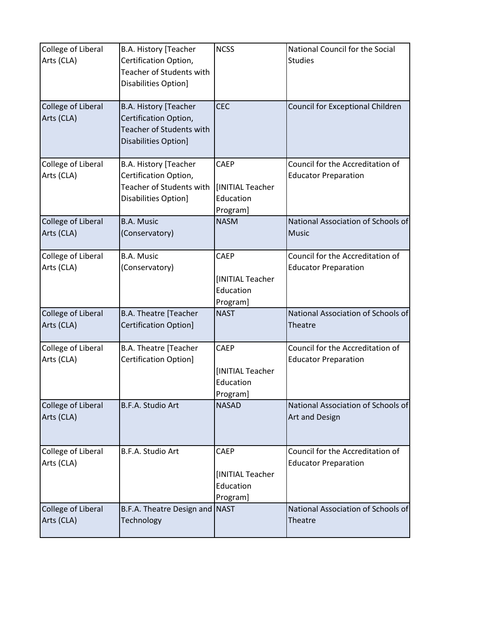| College of Liberal<br>Arts (CLA) | B.A. History [Teacher<br>Certification Option,<br>Teacher of Students with<br>Disabilities Option] | <b>NCSS</b>                                              | National Council for the Social<br><b>Studies</b>               |
|----------------------------------|----------------------------------------------------------------------------------------------------|----------------------------------------------------------|-----------------------------------------------------------------|
| College of Liberal<br>Arts (CLA) | B.A. History [Teacher<br>Certification Option,<br>Teacher of Students with<br>Disabilities Option] | <b>CEC</b>                                               | Council for Exceptional Children                                |
| College of Liberal<br>Arts (CLA) | B.A. History [Teacher<br>Certification Option,<br>Teacher of Students with<br>Disabilities Option] | CAEP<br>[INITIAL Teacher<br>Education<br>Program]        | Council for the Accreditation of<br><b>Educator Preparation</b> |
| College of Liberal<br>Arts (CLA) | <b>B.A. Music</b><br>(Conservatory)                                                                | <b>NASM</b>                                              | National Association of Schools of<br><b>Music</b>              |
| College of Liberal<br>Arts (CLA) | <b>B.A. Music</b><br>(Conservatory)                                                                | <b>CAEP</b><br>[INITIAL Teacher<br>Education<br>Program] | Council for the Accreditation of<br><b>Educator Preparation</b> |
| College of Liberal<br>Arts (CLA) | <b>B.A. Theatre [Teacher</b><br><b>Certification Option]</b>                                       | <b>NAST</b>                                              | National Association of Schools of<br>Theatre                   |
| College of Liberal<br>Arts (CLA) | B.A. Theatre [Teacher<br><b>Certification Option]</b>                                              | <b>CAEP</b><br>[INITIAL Teacher<br>Education<br>Program] | Council for the Accreditation of<br><b>Educator Preparation</b> |
| College of Liberal<br>Arts (CLA) | B.F.A. Studio Art                                                                                  | <b>NASAD</b>                                             | National Association of Schools of<br>Art and Design            |
| College of Liberal<br>Arts (CLA) | B.F.A. Studio Art                                                                                  | CAEP<br>[INITIAL Teacher<br>Education<br>Program]        | Council for the Accreditation of<br><b>Educator Preparation</b> |
| College of Liberal<br>Arts (CLA) | B.F.A. Theatre Design and<br>Technology                                                            | <b>NAST</b>                                              | National Association of Schools of<br>Theatre                   |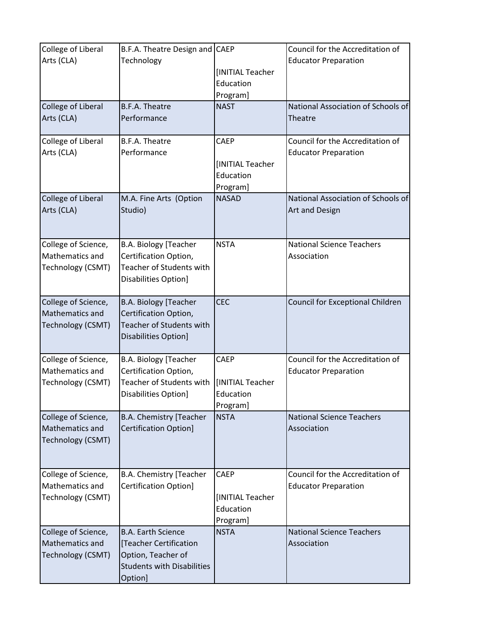| College of Liberal<br>Arts (CLA)<br>College of Liberal<br>Arts (CLA) | B.F.A. Theatre Design and CAEP<br>Technology<br><b>B.F.A. Theatre</b><br>Performance                                      | [INITIAL Teacher<br>Education<br>Program]<br><b>NAST</b> | Council for the Accreditation of<br><b>Educator Preparation</b><br>National Association of Schools of<br>Theatre |
|----------------------------------------------------------------------|---------------------------------------------------------------------------------------------------------------------------|----------------------------------------------------------|------------------------------------------------------------------------------------------------------------------|
| College of Liberal<br>Arts (CLA)                                     | <b>B.F.A. Theatre</b><br>Performance                                                                                      | <b>CAEP</b><br>[INITIAL Teacher<br>Education<br>Program] | Council for the Accreditation of<br><b>Educator Preparation</b>                                                  |
| College of Liberal<br>Arts (CLA)                                     | M.A. Fine Arts (Option<br>Studio)                                                                                         | <b>NASAD</b>                                             | National Association of Schools of<br>Art and Design                                                             |
| College of Science,<br>Mathematics and<br>Technology (CSMT)          | B.A. Biology [Teacher<br>Certification Option,<br>Teacher of Students with<br>Disabilities Option]                        | <b>NSTA</b>                                              | <b>National Science Teachers</b><br>Association                                                                  |
| College of Science,<br>Mathematics and<br>Technology (CSMT)          | <b>B.A. Biology [Teacher</b><br>Certification Option,<br><b>Teacher of Students with</b><br>Disabilities Option]          | <b>CEC</b>                                               | <b>Council for Exceptional Children</b>                                                                          |
| College of Science,<br>Mathematics and<br>Technology (CSMT)          | <b>B.A. Biology [Teacher</b><br>Certification Option,<br>Teacher of Students with<br>Disabilities Option]                 | CAEP<br>[INITIAL Teacher<br>Education<br>Program]        | Council for the Accreditation of<br><b>Educator Preparation</b>                                                  |
| College of Science,<br>Mathematics and<br>Technology (CSMT)          | B.A. Chemistry [Teacher<br><b>Certification Option]</b>                                                                   | <b>NSTA</b>                                              | <b>National Science Teachers</b><br>Association                                                                  |
| College of Science,<br>Mathematics and<br>Technology (CSMT)          | <b>B.A. Chemistry [Teacher</b><br><b>Certification Option]</b>                                                            | <b>CAEP</b><br>[INITIAL Teacher<br>Education<br>Program] | Council for the Accreditation of<br><b>Educator Preparation</b>                                                  |
| College of Science,<br>Mathematics and<br>Technology (CSMT)          | <b>B.A. Earth Science</b><br>[Teacher Certification<br>Option, Teacher of<br><b>Students with Disabilities</b><br>Option] | <b>NSTA</b>                                              | <b>National Science Teachers</b><br>Association                                                                  |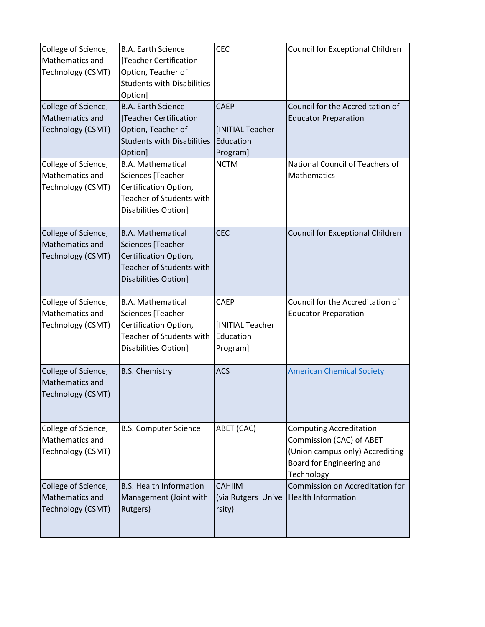| College of Science,<br>Mathematics and<br>Technology (CSMT) | <b>B.A. Earth Science</b><br>[Teacher Certification<br>Option, Teacher of<br><b>Students with Disabilities</b><br>Option]         | <b>CEC</b>                                               | Council for Exceptional Children                                                                                                         |
|-------------------------------------------------------------|-----------------------------------------------------------------------------------------------------------------------------------|----------------------------------------------------------|------------------------------------------------------------------------------------------------------------------------------------------|
| College of Science,<br>Mathematics and<br>Technology (CSMT) | <b>B.A. Earth Science</b><br>[Teacher Certification<br>Option, Teacher of<br><b>Students with Disabilities</b><br>Option]         | <b>CAEP</b><br>[INITIAL Teacher<br>Education<br>Program] | Council for the Accreditation of<br><b>Educator Preparation</b>                                                                          |
| College of Science,<br>Mathematics and<br>Technology (CSMT) | <b>B.A. Mathematical</b><br>Sciences [Teacher<br>Certification Option,<br>Teacher of Students with<br>Disabilities Option]        | <b>NCTM</b>                                              | National Council of Teachers of<br>Mathematics                                                                                           |
| College of Science,<br>Mathematics and<br>Technology (CSMT) | <b>B.A. Mathematical</b><br>Sciences [Teacher<br>Certification Option,<br><b>Teacher of Students with</b><br>Disabilities Option] | <b>CEC</b>                                               | Council for Exceptional Children                                                                                                         |
| College of Science,<br>Mathematics and<br>Technology (CSMT) | <b>B.A. Mathematical</b><br>Sciences [Teacher<br>Certification Option,<br>Teacher of Students with<br>Disabilities Option]        | <b>CAEP</b><br>[INITIAL Teacher<br>Education<br>Program] | Council for the Accreditation of<br><b>Educator Preparation</b>                                                                          |
| College of Science,<br>Mathematics and<br>Technology (CSMT) | <b>B.S. Chemistry</b>                                                                                                             | <b>ACS</b>                                               | <b>American Chemical Society</b>                                                                                                         |
| College of Science,<br>Mathematics and<br>Technology (CSMT) | <b>B.S. Computer Science</b>                                                                                                      | ABET (CAC)                                               | <b>Computing Accreditation</b><br>Commission (CAC) of ABET<br>(Union campus only) Accrediting<br>Board for Engineering and<br>Technology |
| College of Science,<br>Mathematics and<br>Technology (CSMT) | <b>B.S. Health Information</b><br>Management (Joint with<br>Rutgers)                                                              | <b>CAHIIM</b><br>(via Rutgers Unive<br>rsity)            | Commission on Accreditation for<br><b>Health Information</b>                                                                             |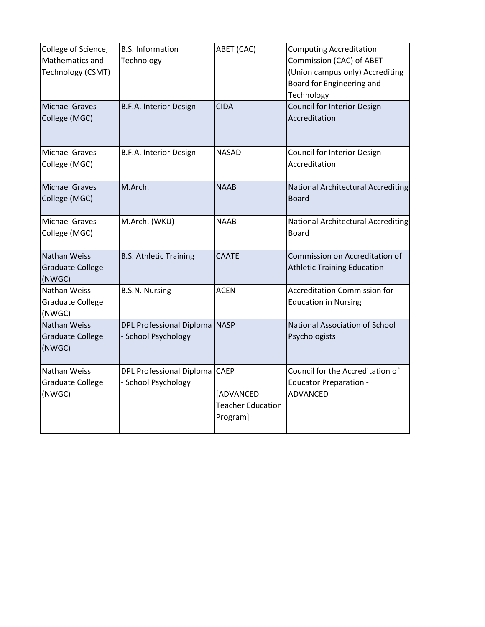| College of Science,<br>Mathematics and<br>Technology (CSMT)<br><b>Michael Graves</b> | <b>B.S. Information</b><br>Technology<br>B.F.A. Interior Design | ABET (CAC)<br><b>CIDA</b>                                               | <b>Computing Accreditation</b><br>Commission (CAC) of ABET<br>(Union campus only) Accrediting<br>Board for Engineering and<br>Technology<br><b>Council for Interior Design</b> |
|--------------------------------------------------------------------------------------|-----------------------------------------------------------------|-------------------------------------------------------------------------|--------------------------------------------------------------------------------------------------------------------------------------------------------------------------------|
| College (MGC)                                                                        |                                                                 |                                                                         | Accreditation                                                                                                                                                                  |
| <b>Michael Graves</b><br>College (MGC)                                               | B.F.A. Interior Design                                          | <b>NASAD</b>                                                            | Council for Interior Design<br>Accreditation                                                                                                                                   |
| <b>Michael Graves</b><br>College (MGC)                                               | M.Arch.                                                         | <b>NAAB</b>                                                             | National Architectural Accrediting<br><b>Board</b>                                                                                                                             |
| <b>Michael Graves</b><br>College (MGC)                                               | M.Arch. (WKU)                                                   | <b>NAAB</b>                                                             | <b>National Architectural Accrediting</b><br>Board                                                                                                                             |
| Nathan Weiss<br><b>Graduate College</b><br>(NWGC)                                    | <b>B.S. Athletic Training</b>                                   | <b>CAATE</b>                                                            | Commission on Accreditation of<br><b>Athletic Training Education</b>                                                                                                           |
| Nathan Weiss<br><b>Graduate College</b><br>(NWGC)                                    | <b>B.S.N. Nursing</b>                                           | <b>ACEN</b>                                                             | <b>Accreditation Commission for</b><br><b>Education in Nursing</b>                                                                                                             |
| Nathan Weiss<br><b>Graduate College</b><br>(NWGC)                                    | DPL Professional Diploma NASP<br>- School Psychology            |                                                                         | National Association of School<br>Psychologists                                                                                                                                |
| Nathan Weiss<br><b>Graduate College</b><br>(NWGC)                                    | DPL Professional Diploma<br>- School Psychology                 | <b>CAEP</b><br><b>[ADVANCED</b><br><b>Teacher Education</b><br>Program] | Council for the Accreditation of<br><b>Educator Preparation -</b><br><b>ADVANCED</b>                                                                                           |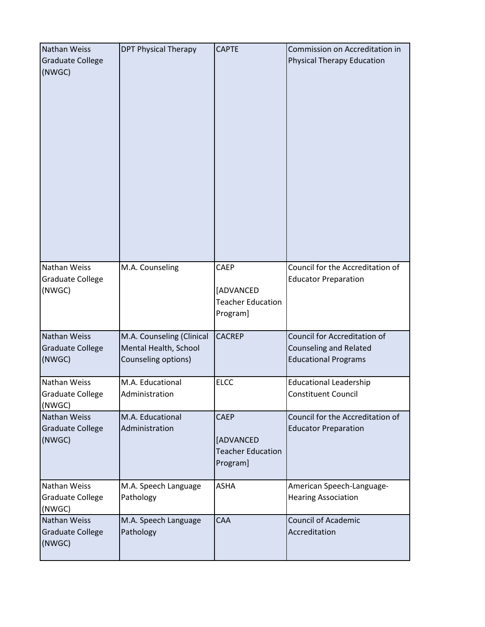| Nathan Weiss<br><b>Graduate College</b><br>(NWGC) | <b>DPT Physical Therapy</b>                                               | <b>CAPTE</b>                                                     | Commission on Accreditation in<br><b>Physical Therapy Education</b>                          |
|---------------------------------------------------|---------------------------------------------------------------------------|------------------------------------------------------------------|----------------------------------------------------------------------------------------------|
| Nathan Weiss<br>Graduate College<br>(NWGC)        | M.A. Counseling                                                           | <b>CAEP</b><br>[ADVANCED<br><b>Teacher Education</b><br>Program] | Council for the Accreditation of<br><b>Educator Preparation</b>                              |
| Nathan Weiss<br><b>Graduate College</b><br>(NWGC) | M.A. Counseling (Clinical<br>Mental Health, School<br>Counseling options) | <b>CACREP</b>                                                    | Council for Accreditation of<br><b>Counseling and Related</b><br><b>Educational Programs</b> |
| Nathan Weiss<br><b>Graduate College</b><br>(NWGC) | M.A. Educational<br>Administration                                        | <b>ELCC</b>                                                      | <b>Educational Leadership</b><br><b>Constituent Council</b>                                  |
| Nathan Weiss<br><b>Graduate College</b><br>(NWGC) | M.A. Educational<br>Administration                                        | <b>CAEP</b><br>[ADVANCED<br><b>Teacher Education</b><br>Program] | Council for the Accreditation of<br><b>Educator Preparation</b>                              |
| Nathan Weiss<br><b>Graduate College</b><br>(NWGC) | M.A. Speech Language<br>Pathology                                         | <b>ASHA</b>                                                      | American Speech-Language-<br><b>Hearing Association</b>                                      |
| Nathan Weiss<br><b>Graduate College</b><br>(NWGC) | M.A. Speech Language<br>Pathology                                         | CAA                                                              | <b>Council of Academic</b><br>Accreditation                                                  |